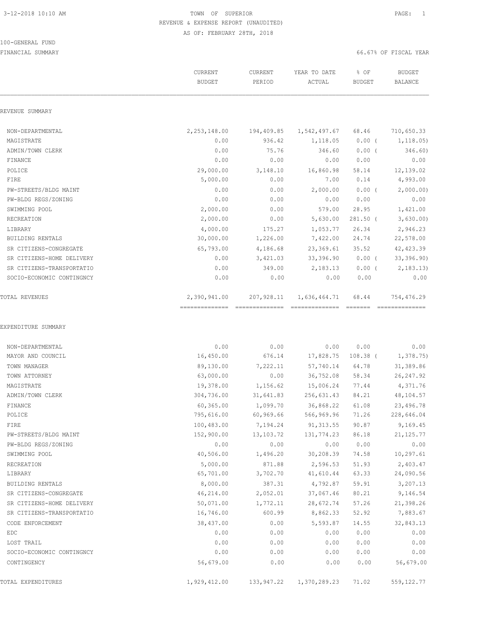#### 100-GENERAL FUND

|                           | CURRENT<br><b>BUDGET</b>       | CURRENT<br>PERIOD | YEAR TO DATE<br>ACTUAL          | % OF<br><b>BUDGET</b> | <b>BUDGET</b><br><b>BALANCE</b> |
|---------------------------|--------------------------------|-------------------|---------------------------------|-----------------------|---------------------------------|
| REVENUE SUMMARY           |                                |                   |                                 |                       |                                 |
| NON-DEPARTMENTAL          | 2,253,148.00                   | 194,409.85        | 1,542,497.67                    | 68.46                 | 710,650.33                      |
| MAGISTRATE                | 0.00                           | 936.42            | 1,118.05                        | $0.00$ (              | 1, 118.05)                      |
| ADMIN/TOWN CLERK          | 0.00                           | 75.76             | 346.60                          | $0.00$ (              | 346.60)                         |
| FINANCE                   | 0.00                           | 0.00              | 0.00                            | 0.00                  | 0.00                            |
| POLICE                    | 29,000.00                      | 3,148.10          | 16,860.98                       | 58.14                 | 12,139.02                       |
| FIRE                      | 5,000.00                       | 0.00              | 7.00                            | 0.14                  | 4,993.00                        |
| PW-STREETS/BLDG MAINT     | 0.00                           | 0.00              | 2,000.00                        | $0.00$ (              | 2,000.00)                       |
| PW-BLDG REGS/ZONING       | 0.00                           | 0.00              | 0.00                            | 0.00                  | 0.00                            |
| SWIMMING POOL             | 2,000.00                       | 0.00              | 579.00                          | 28.95                 | 1,421.00                        |
| RECREATION                | 2,000.00                       | 0.00              | 5,630.00                        | $281.50$ (            | 3,630.00                        |
| LIBRARY                   | 4,000.00                       | 175.27            | 1,053.77                        | 26.34                 | 2,946.23                        |
| BUILDING RENTALS          | 30,000.00                      | 1,226.00          | 7,422.00                        | 24.74                 | 22,578.00                       |
| SR CITIZENS-CONGREGATE    | 65,793.00                      | 4,186.68          | 23,369.61                       | 35.52                 | 42, 423.39                      |
| SR CITIZENS-HOME DELIVERY | 0.00                           | 3,421.03          | 33,396.90                       | $0.00$ (              | 33,396.90)                      |
| SR CITIZENS-TRANSPORTATIO | 0.00                           | 349.00            | 2,183.13                        | $0.00$ (              | 2, 183.13                       |
| SOCIO-ECONOMIC CONTINGNCY | 0.00                           | 0.00              | 0.00                            | 0.00                  | 0.00                            |
| <b>TOTAL REVENUES</b>     | 2,390,941.00<br>-------------- | 207,928.11        | 1,636,464.71<br>--------------- | 68.44                 | 754,476.29                      |
| NON-DEPARTMENTAL          | 0.00                           | 0.00              | 0.00                            | 0.00                  | 0.00                            |
| MAYOR AND COUNCIL         | 16,450.00                      | 676.14            | 17,828.75                       | $108.38$ (            | 1,378.75                        |
| TOWN MANAGER              | 89,130.00                      | 7,222.11          | 57,740.14                       | 64.78                 | 31,389.86                       |
| TOWN ATTORNEY             | 63,000.00                      | 0.00              | 36,752.08                       | 58.34                 | 26, 247.92                      |
| MAGISTRATE                | 19,378.00                      | 1,156.62          | 15,006.24                       | 77.44                 | 4,371.76                        |
| ADMIN/TOWN CLERK          | 304,736.00                     | 31,641.83         | 256,631.43                      | 84.21                 | 48,104.57                       |
| FINANCE                   | 60,365.00                      | 1,099.70          | 36,868.22                       | 61.08                 | 23,496.78                       |
| POLICE                    | 795,616.00                     | 60,969.66         | 566,969.96                      | 71.26                 | 228,646.04                      |
| FIRE                      | 100,483.00                     | 7,194.24          | 91, 313.55                      | 90.87                 | 9,169.45                        |
| PW-STREETS/BLDG MAINT     | 152,900.00                     | 13,103.72         | 131,774.23                      | 86.18                 | 21, 125.77                      |
| PW-BLDG REGS/ZONING       | 0.00                           | 0.00              | 0.00                            | 0.00                  | 0.00                            |
| SWIMMING POOL             | 40,506.00                      | 1,496.20          | 30, 208.39                      | 74.58                 | 10,297.61                       |
| RECREATION                | 5,000.00                       | 871.88            | 2,596.53                        | 51.93                 | 2,403.47                        |
| LIBRARY                   | 65,701.00                      | 3,702.70          | 41,610.44                       | 63.33                 | 24,090.56                       |
| BUILDING RENTALS          | 8,000.00                       | 387.31            | 4,792.87                        | 59.91                 | 3,207.13                        |
| SR CITIZENS-CONGREGATE    | 46,214.00                      | 2,052.01          | 37,067.46                       | 80.21                 | 9,146.54                        |
| SR CITIZENS-HOME DELIVERY | 50,071.00                      | 1,772.11          | 28,672.74                       | 57.26                 | 21,398.26                       |
| SR CITIZENS-TRANSPORTATIO | 16,746.00                      | 600.99            | 8,862.33                        | 52.92                 | 7,883.67                        |
| CODE ENFORCEMENT          | 38,437.00                      | 0.00              | 5,593.87                        | 14.55                 | 32,843.13                       |
| EDC                       | 0.00                           | 0.00              | 0.00                            | 0.00                  | 0.00                            |
| LOST TRAIL                | 0.00                           | 0.00              | 0.00                            | 0.00                  | 0.00                            |
| SOCIO-ECONOMIC CONTINGNCY | 0.00                           | 0.00              | 0.00                            | 0.00                  | 0.00                            |
| CONTINGENCY               | 56,679.00                      | 0.00              | 0.00                            | 0.00                  | 56,679.00                       |
| TOTAL EXPENDITURES        | 1,929,412.00                   | 133,947.22        | 1,370,289.23                    | 71.02                 | 559, 122.77                     |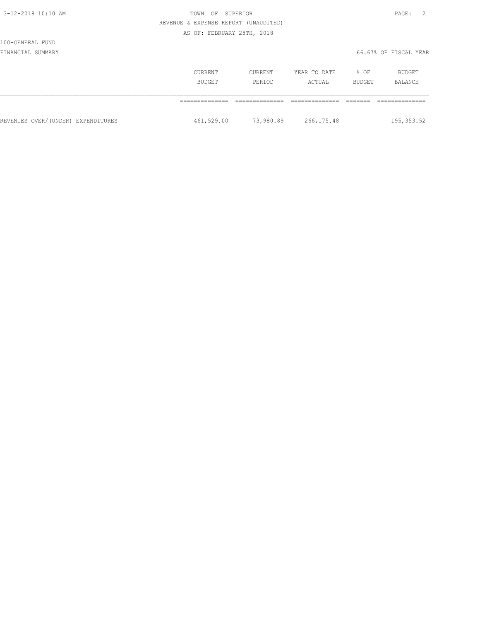## 100-GENERAL FUND

|                                    | CURRENT<br>BUDGET | CURRENT<br>PERIOD | YEAR TO DATE<br>ACTUAL | $8$ OF<br>BUDGET | BUDGET<br>BALANCE |
|------------------------------------|-------------------|-------------------|------------------------|------------------|-------------------|
|                                    |                   |                   |                        |                  |                   |
| REVENUES OVER/(UNDER) EXPENDITURES | 461,529.00        | 73,980.89         | 266, 175.48            |                  | 195,353.52        |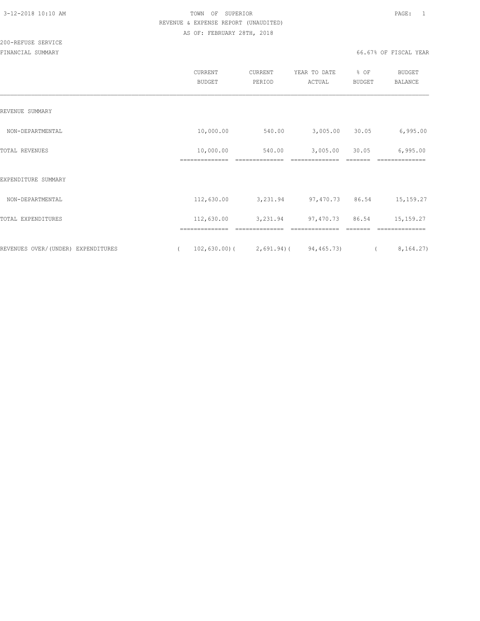|                                    | CURRENT<br><b>BUDGET</b>          | CURRENT<br>PERIOD | YEAR TO DATE<br>ACTUAL | % OF<br>BUDGET | <b>BUDGET</b><br>BALANCE |
|------------------------------------|-----------------------------------|-------------------|------------------------|----------------|--------------------------|
| REVENUE SUMMARY                    |                                   |                   |                        |                |                          |
| NON-DEPARTMENTAL                   | 10,000.00                         | 540.00            | 3,005.00               | 30.05          | 6,995.00                 |
| TOTAL REVENUES                     | 10,000.00<br>--------------       | 540.00            | 3,005.00               | 30.05          | 6,995.00                 |
| EXPENDITURE SUMMARY                |                                   |                   |                        |                |                          |
| NON-DEPARTMENTAL                   | 112,630.00                        | 3,231.94          | 97,470.73              | 86.54          | 15, 159. 27              |
| TOTAL EXPENDITURES                 | 112,630.00                        | 3,231.94          | 97,470.73 86.54        |                | 15, 159. 27              |
| REVENUES OVER/(UNDER) EXPENDITURES | ==============<br>$102, 630.00$ ( | $2,691.94$ )(     | 94, 465. 73)           |                | 8, 164.27)               |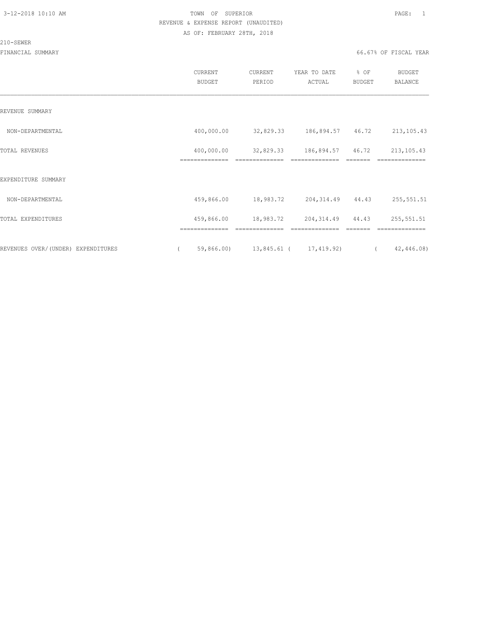#### 210-SEWER

|                                    | CURRENT<br><b>BUDGET</b>     | CURRENT<br>PERIOD                   | YEAR TO DATE<br>ACTUAL              | % OF<br>BUDGET | <b>BUDGET</b><br>BALANCE      |
|------------------------------------|------------------------------|-------------------------------------|-------------------------------------|----------------|-------------------------------|
| REVENUE SUMMARY                    |                              |                                     |                                     |                |                               |
| NON-DEPARTMENTAL                   | 400,000.00                   | 32,829.33 186,894.57 46.72          |                                     |                | 213, 105.43                   |
| TOTAL REVENUES                     | 400,000.00<br>============== | 32,829.33                           | 186,894.57 46.72<br>==============  |                | 213, 105.43<br>============== |
| EXPENDITURE SUMMARY                |                              |                                     |                                     |                |                               |
| NON-DEPARTMENTAL                   | 459,866.00                   | 18,983.72 204,314.49 44.43          |                                     |                | 255,551.51                    |
| TOTAL EXPENDITURES                 | 459,866.00<br>============== | 18,983.72<br>==============         | 204, 314.49 44.43<br>============== |                | 255,551.51<br>==============  |
| REVENUES OVER/(UNDER) EXPENDITURES | $\sqrt{2}$                   | 59,866.00) 13,845.61 ( 17,419.92) ( |                                     |                | 42,446.08)                    |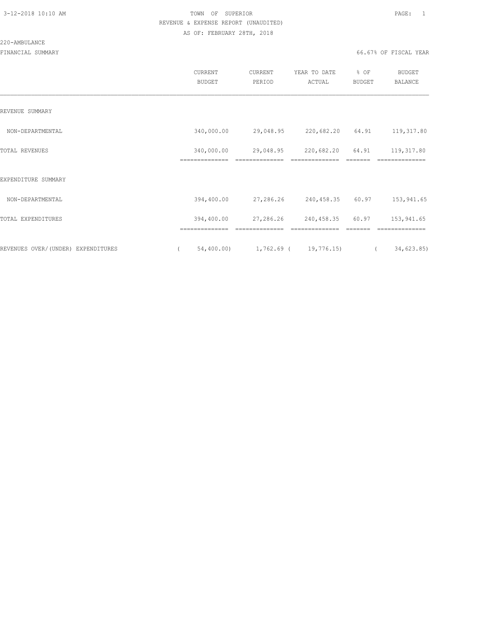#### 220-AMBULANCE

|                                    | CURRENT<br><b>BUDGET</b>     | CURRENT<br>PERIOD           | YEAR TO DATE<br>ACTUAL       | % OF<br><b>BUDGET</b> | <b>BUDGET</b><br><b>BALANCE</b> |
|------------------------------------|------------------------------|-----------------------------|------------------------------|-----------------------|---------------------------------|
| REVENUE SUMMARY                    |                              |                             |                              |                       |                                 |
| NON-DEPARTMENTAL                   | 340,000.00                   | 29,048.95                   | 220,682.20                   | 64.91                 | 119,317.80                      |
| TOTAL REVENUES                     | 340,000.00<br>============== | 29,048.95                   | 220,682.20                   | 64.91                 | 119,317.80<br>==============    |
| EXPENDITURE SUMMARY                |                              |                             |                              |                       |                                 |
| NON-DEPARTMENTAL                   | 394,400.00                   | 27,286.26                   | 240,458.35 60.97             |                       | 153,941.65                      |
| TOTAL EXPENDITURES                 | 394,400.00<br>============== | 27,286.26<br>============== | 240,458.35<br>============== | 60.97                 | 153,941.65<br>==============    |
| REVENUES OVER/(UNDER) EXPENDITURES | 54,400.00)<br>$\left($       | $1,762.69$ ( $19,776.15$ )  |                              |                       | 34,623.85)<br>$\left($          |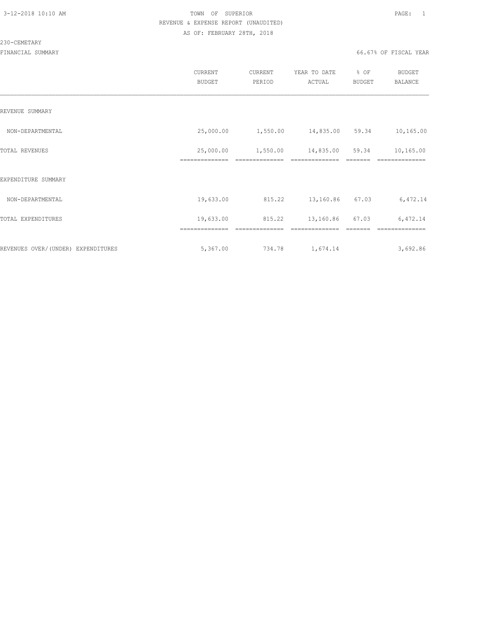#### 230-CEMETARY

|                                    | CURRENT<br><b>BUDGET</b>    | CURRENT<br>PERIOD | YEAR TO DATE<br>ACTUAL | % OF<br>BUDGET | <b>BUDGET</b><br><b>BALANCE</b> |
|------------------------------------|-----------------------------|-------------------|------------------------|----------------|---------------------------------|
| REVENUE SUMMARY                    |                             |                   |                        |                |                                 |
| NON-DEPARTMENTAL                   | 25,000.00                   | 1,550.00          | 14,835.00 59.34        |                | 10,165.00                       |
| TOTAL REVENUES                     | 25,000.00<br>============== | 1,550.00          | 14,835.00              | 59.34          | 10,165.00                       |
| EXPENDITURE SUMMARY                |                             |                   |                        |                |                                 |
| NON-DEPARTMENTAL                   | 19,633.00                   | 815.22            | 13,160.86              | 67.03          | 6,472.14                        |
| TOTAL EXPENDITURES                 | 19,633.00                   | 815.22            | 13,160.86              | 67.03          | 6,472.14                        |
|                                    |                             |                   |                        |                |                                 |
| REVENUES OVER/(UNDER) EXPENDITURES | 5,367.00                    | 734.78            | 1,674.14               |                | 3,692.86                        |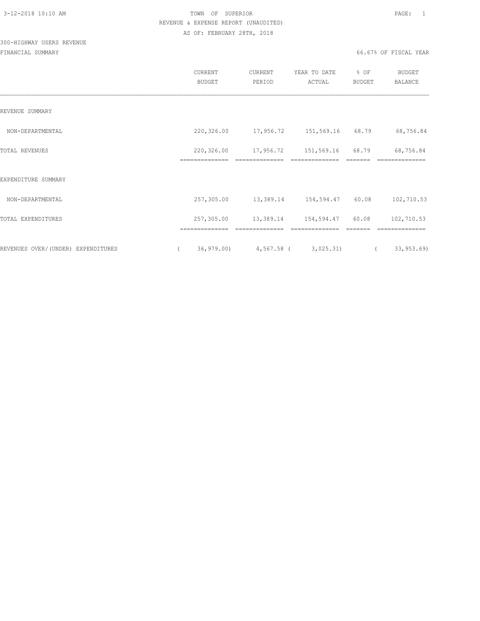## 300-HIGHWAY USERS REVENUE

|                                    | <b>CURRENT</b><br>BUDGET | CURRENT<br>PERIOD               | YEAR TO DATE<br>ACTUAL | % OF<br>BUDGET | BUDGET<br>BALANCE |
|------------------------------------|--------------------------|---------------------------------|------------------------|----------------|-------------------|
| REVENUE SUMMARY                    |                          |                                 |                        |                |                   |
| NON-DEPARTMENTAL                   |                          | 220,326.00 17,956.72            | 151,569.16 68.79       |                | 68,756.84         |
| TOTAL REVENUES                     | 220,326.00               | 17,956.72                       | 151,569.16             | 68.79          | 68,756.84         |
| EXPENDITURE SUMMARY                |                          |                                 |                        |                |                   |
| NON-DEPARTMENTAL                   | 257,305.00               | 13,389.14                       | 154,594.47 60.08       |                | 102,710.53        |
| TOTAL EXPENDITURES                 | 257,305.00               | 13,389.14                       | 154,594.47             | 60.08          | 102,710.53        |
|                                    |                          |                                 |                        |                |                   |
| REVENUES OVER/(UNDER) EXPENDITURES |                          | 36,979.00) 4,567.58 ( 3,025.31) |                        |                | 33, 953.69        |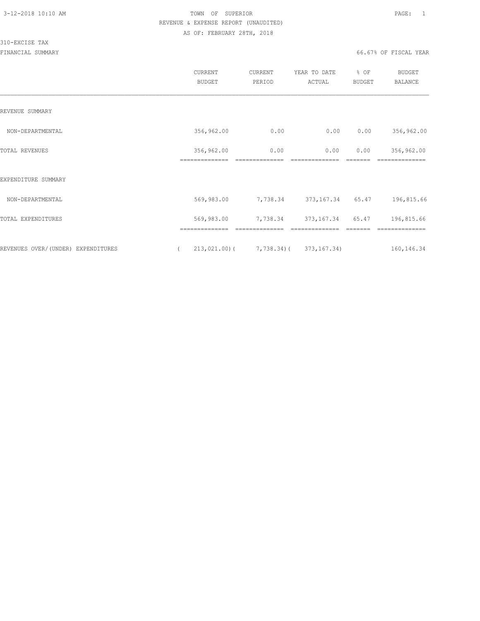#### 310-EXCISE TAX

|                                    | CURRENT<br><b>BUDGET</b>     | <b>CURRENT</b><br>PERIOD                   | YEAR TO DATE<br>ACTUAL | % OF<br>BUDGET | <b>BUDGET</b><br><b>BALANCE</b> |
|------------------------------------|------------------------------|--------------------------------------------|------------------------|----------------|---------------------------------|
| REVENUE SUMMARY                    |                              |                                            |                        |                |                                 |
| NON-DEPARTMENTAL                   | 356,962.00                   | 0.00                                       | 0.00                   | 0.00           | 356,962.00                      |
| TOTAL REVENUES                     | 356,962.00<br>============== | 0.00                                       | 0.00                   | 0.00           | 356,962.00                      |
| EXPENDITURE SUMMARY                |                              |                                            |                        |                |                                 |
| NON-DEPARTMENTAL                   | 569,983.00                   | 7,738.34                                   | 373,167.34             | 65.47          | 196,815.66                      |
| TOTAL EXPENDITURES                 | 569,983.00                   | 7,738.34                                   | 373, 167.34 65.47      |                | 196,815.66                      |
|                                    |                              |                                            |                        |                |                                 |
| REVENUES OVER/(UNDER) EXPENDITURES | $\left($                     | $213,021.00$ ( $7,738.34$ ( $373,167.34$ ) |                        |                | 160, 146.34                     |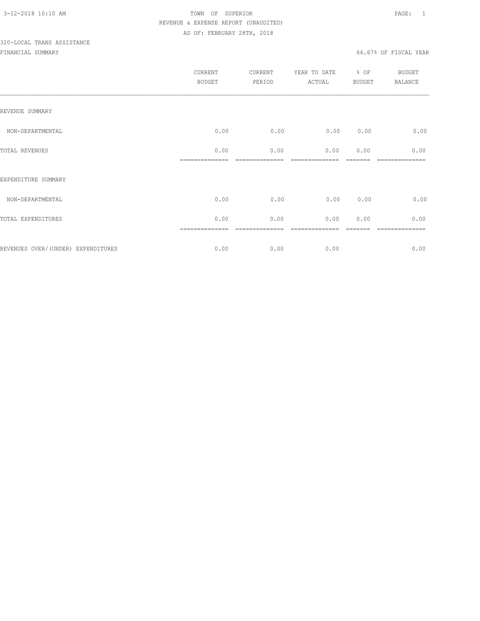# 320-LOCAL TRANS ASSISTANCE

| CURRENT<br><b>BUDGET</b> | CURRENT<br>PERIOD | YEAR TO DATE<br>ACTUAL | % OF | <b>BUDGET</b><br><b>BALANCE</b> |
|--------------------------|-------------------|------------------------|------|---------------------------------|
|                          |                   |                        |      |                                 |
| 0.00                     | 0.00              | 0.00                   | 0.00 | 0.00                            |
| 0.00                     | 0.00              | 0.00                   | 0.00 | 0.00                            |
|                          |                   |                        |      |                                 |
| 0.00                     | 0.00              | 0.00                   | 0.00 | 0.00                            |
| 0.00                     | 0.00              | 0.00                   | 0.00 | 0.00                            |
| 0.00                     | 0.00              | 0.00                   |      | 0.00                            |
|                          |                   |                        |      | BUDGET                          |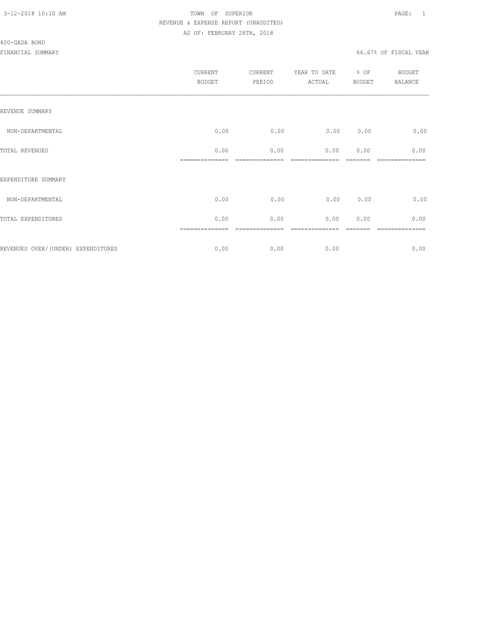#### 400-GADA BOND

|                                    | CURRENT<br><b>BUDGET</b> | CURRENT<br>PERIOD | YEAR TO DATE<br>ACTUAL | % OF<br>BUDGET | BUDGET<br><b>BALANCE</b> |
|------------------------------------|--------------------------|-------------------|------------------------|----------------|--------------------------|
| REVENUE SUMMARY                    |                          |                   |                        |                |                          |
| NON-DEPARTMENTAL                   | 0.00                     | 0.00              | 0.00                   | 0.00           | 0.00                     |
| TOTAL REVENUES                     | 0.00                     | 0.00              | 0.00                   | 0.00           | 0.00                     |
| EXPENDITURE SUMMARY                |                          |                   |                        |                |                          |
| NON-DEPARTMENTAL                   | 0.00                     | 0.00              | 0.00                   | 0.00           | 0.00                     |
| TOTAL EXPENDITURES                 | 0.00                     | 0.00              | 0.00                   | 0.00           | 0.00                     |
| REVENUES OVER/(UNDER) EXPENDITURES | ==============<br>0.00   | ========<br>0.00  | 0.00                   |                | --------<br>0.00         |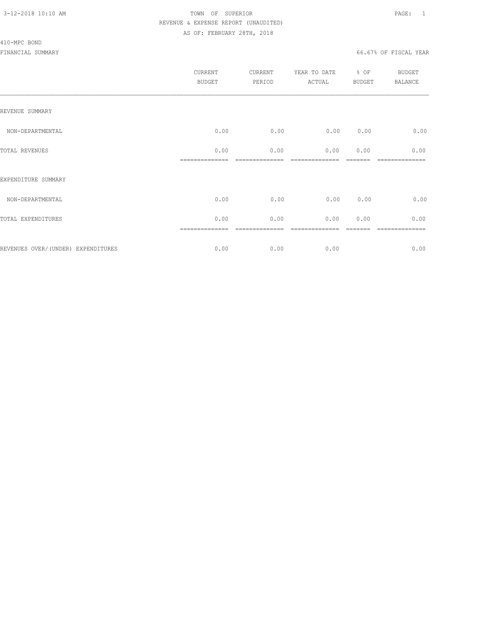#### 410-MPC BOND

| <b>CURRENT</b><br><b>BUDGET</b> | CURRENT<br>PERIOD | YEAR TO DATE<br>ACTUAL | % OF | <b>BUDGET</b><br><b>BALANCE</b> |
|---------------------------------|-------------------|------------------------|------|---------------------------------|
|                                 |                   |                        |      |                                 |
| 0.00                            | 0.00              | 0.00                   | 0.00 | 0.00                            |
| 0.00                            | 0.00              | 0.00                   | 0.00 | 0.00                            |
|                                 |                   |                        |      |                                 |
| 0.00                            | 0.00              | 0.00                   | 0.00 | 0.00                            |
| 0.00                            | 0.00              | 0.00                   | 0.00 | 0.00                            |
| 0.00                            | 0.00              | 0.00                   |      | ========<br>0.00                |
|                                 |                   |                        |      | <b>BUDGET</b>                   |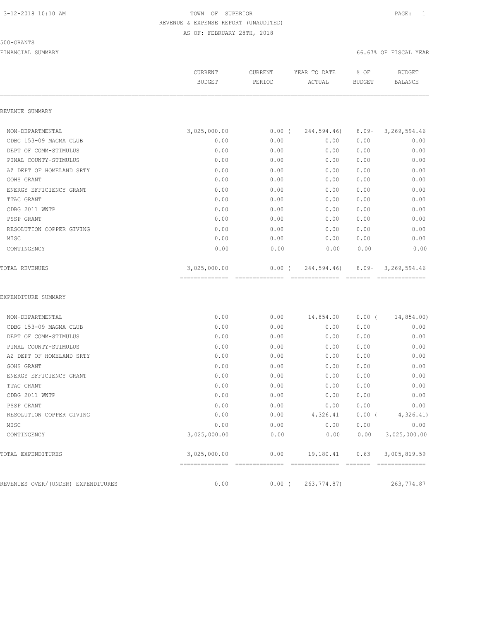#### 500-GRANTS

|                                    | CURRENT<br><b>BUDGET</b>       | CURRENT<br>PERIOD       | YEAR TO DATE<br>ACTUAL        | % OF<br><b>BUDGET</b>     | <b>BUDGET</b><br><b>BALANCE</b> |
|------------------------------------|--------------------------------|-------------------------|-------------------------------|---------------------------|---------------------------------|
| REVENUE SUMMARY                    |                                |                         |                               |                           |                                 |
| NON-DEPARTMENTAL                   | 3,025,000.00                   | $0.00$ (                | 244,594.46)                   | $8.09 -$                  | 3, 269, 594.46                  |
| CDBG 153-09 MAGMA CLUB             | 0.00                           | 0.00                    | 0.00                          | 0.00                      | 0.00                            |
| DEPT OF COMM-STIMULUS              | 0.00                           | 0.00                    | 0.00                          | 0.00                      | 0.00                            |
| PINAL COUNTY-STIMULUS              | 0.00                           | 0.00                    | 0.00                          | 0.00                      | 0.00                            |
| AZ DEPT OF HOMELAND SRTY           | 0.00                           | 0.00                    | 0.00                          | 0.00                      | 0.00                            |
| GOHS GRANT                         | 0.00                           | 0.00                    | 0.00                          | 0.00                      | 0.00                            |
| ENERGY EFFICIENCY GRANT            | 0.00                           | 0.00                    | 0.00                          | 0.00                      | 0.00                            |
| TTAC GRANT                         | 0.00                           | 0.00                    | 0.00                          | 0.00                      | 0.00                            |
| CDBG 2011 WWTP                     | 0.00                           | 0.00                    | 0.00                          | 0.00                      | 0.00                            |
| PSSP GRANT                         | 0.00                           | 0.00                    | 0.00                          | 0.00                      | 0.00                            |
| RESOLUTION COPPER GIVING           | 0.00                           | 0.00                    | 0.00                          | 0.00                      | 0.00                            |
| MISC                               | 0.00                           | 0.00                    | 0.00                          | 0.00                      | 0.00                            |
| CONTINGENCY                        | 0.00                           | 0.00                    | 0.00                          | 0.00                      | 0.00                            |
| <b>TOTAL REVENUES</b>              | 3,025,000.00<br>-------------- | 0.00(<br>============== | 244,594.46)<br>============== | $8.09 -$<br><b>EEEEEE</b> | 3,269,594.46<br>--------------- |
| EXPENDITURE SUMMARY                |                                |                         |                               |                           |                                 |
| NON-DEPARTMENTAL                   | 0.00                           | 0.00                    | 14,854.00                     | $0.00$ (                  | 14,854.00)                      |
| CDBG 153-09 MAGMA CLUB             | 0.00                           | 0.00                    | 0.00                          | 0.00                      | 0.00                            |
| DEPT OF COMM-STIMULUS              | 0.00                           | 0.00                    | 0.00                          | 0.00                      | 0.00                            |
| PINAL COUNTY-STIMULUS              | 0.00                           | 0.00                    | 0.00                          | 0.00                      | 0.00                            |
| AZ DEPT OF HOMELAND SRTY           | 0.00                           | 0.00                    | 0.00                          | 0.00                      | 0.00                            |
| GOHS GRANT                         | 0.00                           | 0.00                    | 0.00                          | 0.00                      | 0.00                            |
| ENERGY EFFICIENCY GRANT            | 0.00                           | 0.00                    | 0.00                          | 0.00                      | 0.00                            |
| TTAC GRANT                         | 0.00                           | 0.00                    | 0.00                          | 0.00                      | 0.00                            |
| CDBG 2011 WWTP                     | 0.00                           | 0.00                    | 0.00                          | 0.00                      | 0.00                            |
| PSSP GRANT                         | 0.00                           | 0.00                    | 0.00                          | 0.00                      | 0.00                            |
| RESOLUTION COPPER GIVING           | 0.00                           | 0.00                    | 4,326.41                      | $0.00$ (                  | 4,326.41)                       |
| MISC                               | 0.00                           | 0.00                    | 0.00                          | 0.00                      | 0.00                            |
| CONTINGENCY                        | 3,025,000.00                   | 0.00                    | 0.00                          | 0.00                      | 3,025,000.00                    |
| TOTAL EXPENDITURES                 | 3,025,000.00                   | 0.00                    | 19,180.41                     | 0.63                      | 3,005,819.59                    |
|                                    |                                |                         |                               |                           |                                 |
| REVENUES OVER/(UNDER) EXPENDITURES | 0.00                           | $0.00$ (                | 263,774.87)                   |                           | 263,774.87                      |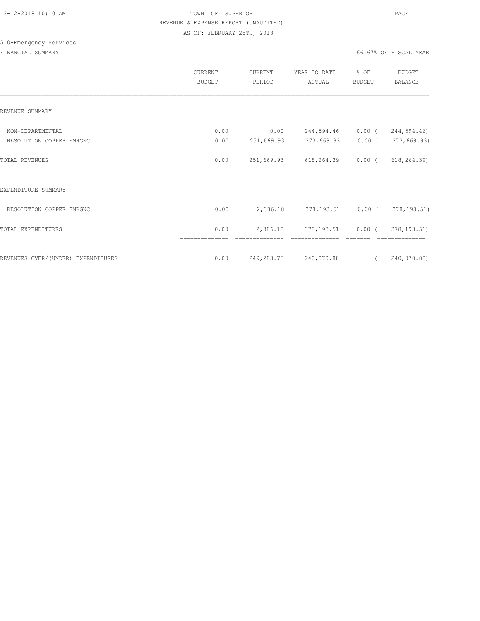|                                    | CURRENT<br><b>BUDGET</b> | CURRENT<br>PERIOD | YEAR TO DATE<br>ACTUAL       | % OF<br><b>BUDGET</b> | <b>BUDGET</b><br><b>BALANCE</b> |
|------------------------------------|--------------------------|-------------------|------------------------------|-----------------------|---------------------------------|
| REVENUE SUMMARY                    |                          |                   |                              |                       |                                 |
| NON-DEPARTMENTAL                   | 0.00                     | 0.00              | 244,594.46                   | $0.00$ (              | 244,594.46)                     |
| RESOLUTION COPPER EMRGNC           | 0.00                     |                   | 251,669.93 373,669.93        | $0.00$ (              | 373,669.93)                     |
| TOTAL REVENUES                     | 0.00<br>==============   | 251,669.93        | 618,264.39<br>============== | $0.00$ (              | 618, 264.39<br>==============   |
| EXPENDITURE SUMMARY                |                          |                   |                              |                       |                                 |
| RESOLUTION COPPER EMRGNC           | 0.00                     | 2,386.18          | 378,193.51 0.00 (            |                       | 378, 193.51)                    |
| TOTAL EXPENDITURES                 | 0.00<br>==============   | 2,386.18          | 378, 193.51                  | $0.00$ (              | 378, 193.51)                    |
| REVENUES OVER/(UNDER) EXPENDITURES | 0.00                     |                   | 249,283.75 240,070.88        | $\sqrt{2}$            | 240,070.88)                     |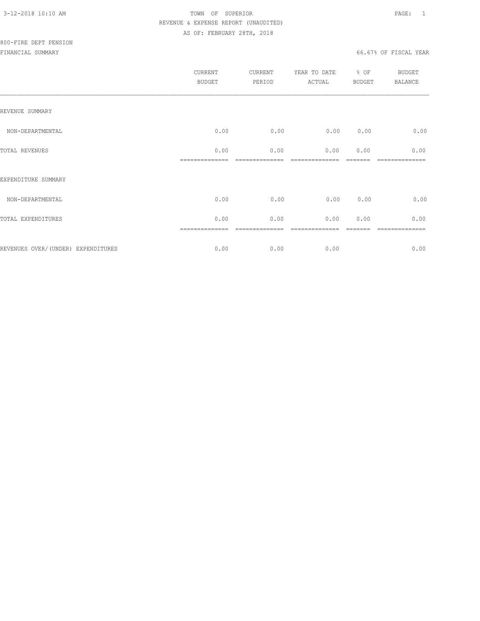|                                    | CURRENT<br>BUDGET | CURRENT<br>PERIOD | YEAR TO DATE<br>ACTUAL | $\div$ 8 OF<br><b>BUDGET</b> | <b>BUDGET</b><br>BALANCE |
|------------------------------------|-------------------|-------------------|------------------------|------------------------------|--------------------------|
| REVENUE SUMMARY                    |                   |                   |                        |                              |                          |
| NON-DEPARTMENTAL                   | 0.00              | 0.00              | 0.00                   | 0.00                         | 0.00                     |
| TOTAL REVENUES                     | 0.00              | 0.00              | 0.00                   | 0.00                         | 0.00<br>======           |
| EXPENDITURE SUMMARY                |                   |                   |                        |                              |                          |
| NON-DEPARTMENTAL                   | 0.00              | 0.00              | 0.00                   | 0.00                         | 0.00                     |
| TOTAL EXPENDITURES                 | 0.00              | 0.00              | 0.00                   | 0.00                         | 0.00                     |
| REVENUES OVER/(UNDER) EXPENDITURES | 0.00              | 0.00              | 0.00                   |                              | 0.00                     |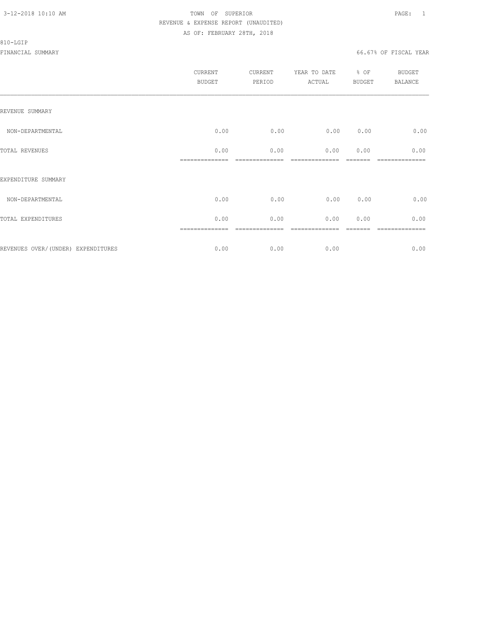#### 810-LGIP

|                                     | CURRENT<br><b>BUDGET</b> | CURRENT<br>PERIOD | YEAR TO DATE<br>ACTUAL | % OF<br>BUDGET | <b>BUDGET</b><br>BALANCE |
|-------------------------------------|--------------------------|-------------------|------------------------|----------------|--------------------------|
| REVENUE SUMMARY                     |                          |                   |                        |                |                          |
| NON-DEPARTMENTAL                    | 0.00                     | 0.00              | 0.00                   | 0.00           | 0.00                     |
| TOTAL REVENUES                      | 0.00                     | 0.00              | 0.00                   | 0.00           | 0.00                     |
| EXPENDITURE SUMMARY                 |                          |                   |                        |                |                          |
| NON-DEPARTMENTAL                    | 0.00                     | 0.00              | 0.00                   | 0.00           | 0.00                     |
| TOTAL EXPENDITURES                  | 0.00                     | 0.00              | 0.00                   | 0.00           | 0.00                     |
| REVENUES OVER/ (UNDER) EXPENDITURES | ==============<br>0.00   | 0.00              | 0.00                   |                | -----------<br>0.00      |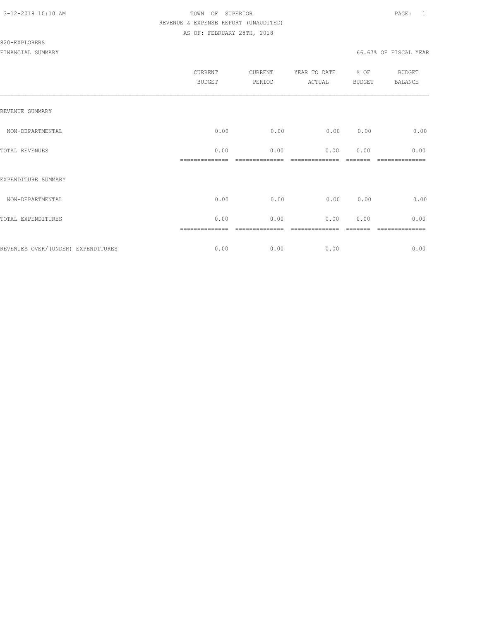#### 820-EXPLORERS

|                                    | CURRENT<br><b>BUDGET</b> | CURRENT<br>PERIOD | YEAR TO DATE<br>ACTUAL | % OF<br>BUDGET | BUDGET<br><b>BALANCE</b> |
|------------------------------------|--------------------------|-------------------|------------------------|----------------|--------------------------|
| REVENUE SUMMARY                    |                          |                   |                        |                |                          |
| NON-DEPARTMENTAL                   | 0.00                     | 0.00              | 0.00                   | 0.00           | 0.00                     |
| TOTAL REVENUES                     | 0.00                     | 0.00              | 0.00                   | 0.00           | 0.00                     |
| EXPENDITURE SUMMARY                |                          |                   |                        |                |                          |
| NON-DEPARTMENTAL                   | 0.00                     | 0.00              | 0.00                   | 0.00           | 0.00                     |
| TOTAL EXPENDITURES                 | 0.00                     | 0.00              | 0.00                   | 0.00           | 0.00                     |
| REVENUES OVER/(UNDER) EXPENDITURES | ==============<br>0.00   | ========<br>0.00  | 0.00                   |                | ========<br>0.00         |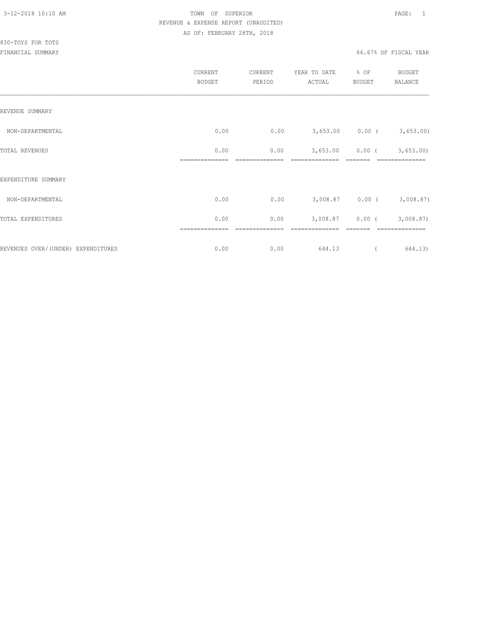## 830-TOYS FOR TOTS

|                                    | CURRENT<br><b>BUDGET</b> | <b>CURRENT</b><br>PERIOD | YEAR TO DATE<br>ACTUAL | % OF<br><b>BUDGET</b> | BUDGET<br><b>BALANCE</b>    |
|------------------------------------|--------------------------|--------------------------|------------------------|-----------------------|-----------------------------|
| REVENUE SUMMARY                    |                          |                          |                        |                       |                             |
| NON-DEPARTMENTAL                   | 0.00                     | 0.00                     |                        |                       | $3,653.00$ 0.00 ( 3,653.00) |
| TOTAL REVENUES                     | 0.00                     | 0.00                     | 3,653.00               | $0.00$ (              | 3,653.00                    |
| EXPENDITURE SUMMARY                |                          |                          |                        |                       |                             |
| NON-DEPARTMENTAL                   | 0.00                     | 0.00                     |                        | $3,008.87$ 0.00 (     | 3,008.87)                   |
| TOTAL EXPENDITURES                 | 0.00                     | 0.00                     | 3,008.87               | $0.00$ (              | 3,008.87)                   |
| REVENUES OVER/(UNDER) EXPENDITURES | 0.00                     | 0.00                     | 644.13                 |                       | 644.13)                     |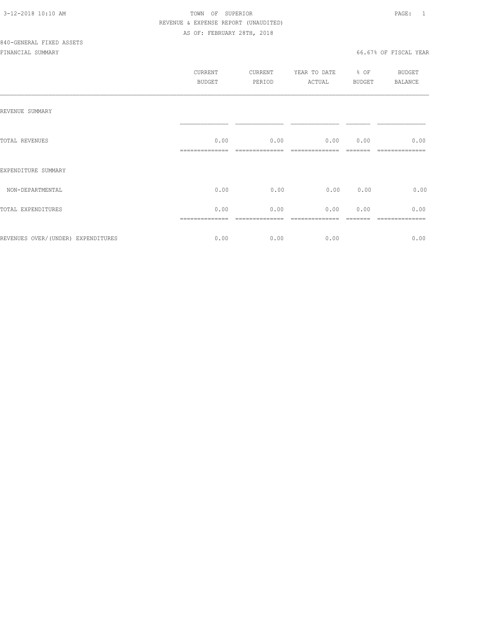|                                    | CURRENT<br>BUDGET | CURRENT<br>PERIOD | YEAR TO DATE<br>ACTUAL | % OF<br>BUDGET | BUDGET<br>BALANCE |
|------------------------------------|-------------------|-------------------|------------------------|----------------|-------------------|
| REVENUE SUMMARY                    |                   |                   |                        |                |                   |
| TOTAL REVENUES                     | 0.00              | 0.00              | 0.00                   | 0.00           | 0.00              |
| EXPENDITURE SUMMARY                |                   |                   |                        |                |                   |
| NON-DEPARTMENTAL                   | 0.00              | 0.00              | 0.00                   | 0.00           | 0.00              |
| TOTAL EXPENDITURES                 | 0.00              | 0.00              | 0.00                   | 0.00           | 0.00              |
| REVENUES OVER/(UNDER) EXPENDITURES | 0.00              | 0.00              | 0.00                   |                | 0.00              |